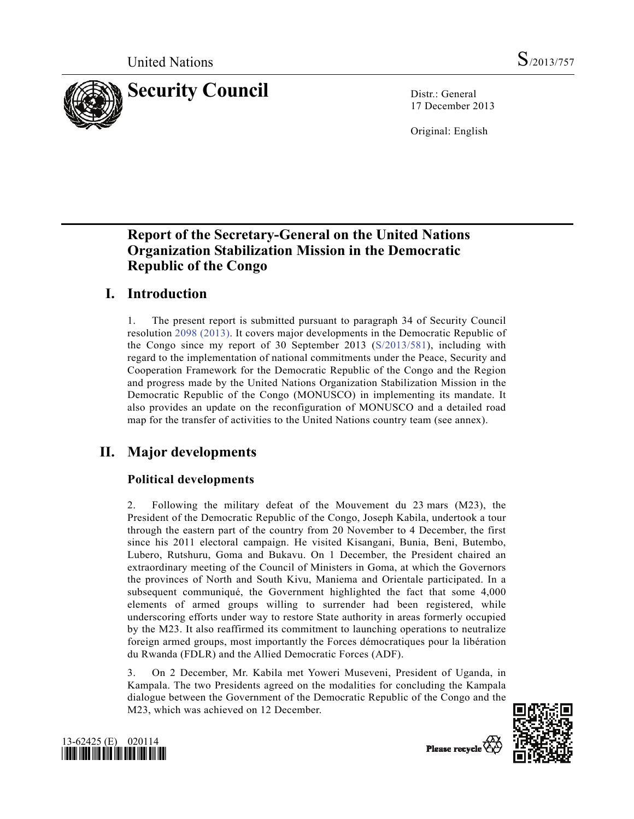

17 December 2013

Original: English

# **Report of the Secretary-General on the United Nations Organization Stabilization Mission in the Democratic Republic of the Congo**

# **I. Introduction**

1. The present report is submitted pursuant to paragraph 34 of Security Council resolution 2098 (2013). It covers major developments in the Democratic Republic of the Congo since my report of 30 September 2013 (S/2013/581), including with regard to the implementation of national commitments under the Peace, Security and Cooperation Framework for the Democratic Republic of the Congo and the Region and progress made by the United Nations Organization Stabilization Mission in the Democratic Republic of the Congo (MONUSCO) in implementing its mandate. It also provides an update on the reconfiguration of MONUSCO and a detailed road map for the transfer of activities to the United Nations country team (see annex).

# **II. Major developments**

# **Political developments**

2. Following the military defeat of the Mouvement du 23 mars (M23), the President of the Democratic Republic of the Congo, Joseph Kabila, undertook a tour through the eastern part of the country from 20 November to 4 December, the first since his 2011 electoral campaign. He visited Kisangani, Bunia, Beni, Butembo, Lubero, Rutshuru, Goma and Bukavu. On 1 December, the President chaired an extraordinary meeting of the Council of Ministers in Goma, at which the Governors the provinces of North and South Kivu, Maniema and Orientale participated. In a subsequent communiqué, the Government highlighted the fact that some 4,000 elements of armed groups willing to surrender had been registered, while underscoring efforts under way to restore State authority in areas formerly occupied by the M23. It also reaffirmed its commitment to launching operations to neutralize foreign armed groups, most importantly the Forces démocratiques pour la libération du Rwanda (FDLR) and the Allied Democratic Forces (ADF).

3. On 2 December, Mr. Kabila met Yoweri Museveni, President of Uganda, in Kampala. The two Presidents agreed on the modalities for concluding the Kampala dialogue between the Government of the Democratic Republic of the Congo and the M23, which was achieved on 12 December.





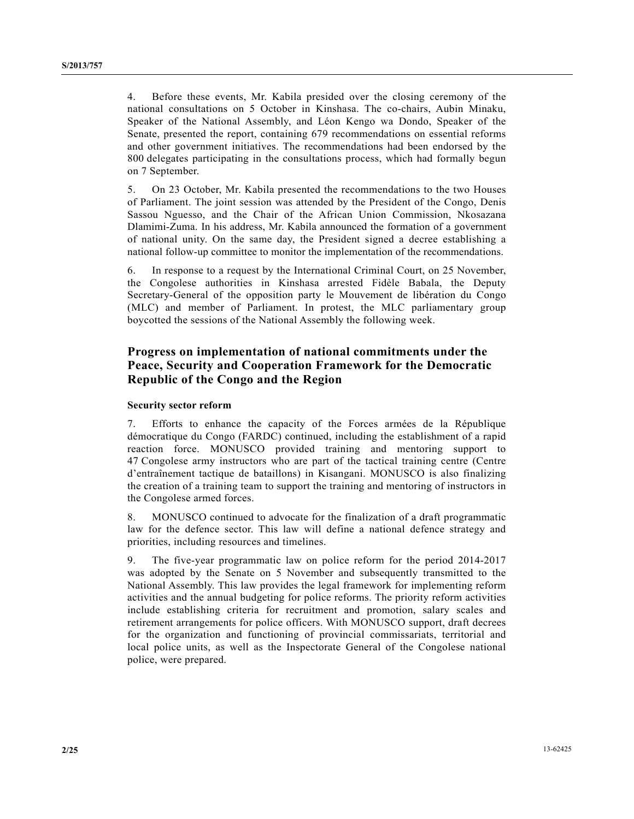4. Before these events, Mr. Kabila presided over the closing ceremony of the national consultations on 5 October in Kinshasa. The co-chairs, Aubin Minaku, Speaker of the National Assembly, and Léon Kengo wa Dondo, Speaker of the Senate, presented the report, containing 679 recommendations on essential reforms and other government initiatives. The recommendations had been endorsed by the 800 delegates participating in the consultations process, which had formally begun on 7 September.

5. On 23 October, Mr. Kabila presented the recommendations to the two Houses of Parliament. The joint session was attended by the President of the Congo, Denis Sassou Nguesso, and the Chair of the African Union Commission, Nkosazana Dlamimi-Zuma. In his address, Mr. Kabila announced the formation of a government of national unity. On the same day, the President signed a decree establishing a national follow-up committee to monitor the implementation of the recommendations.

6. In response to a request by the International Criminal Court, on 25 November, the Congolese authorities in Kinshasa arrested Fidèle Babala, the Deputy Secretary-General of the opposition party le Mouvement de libération du Congo (MLC) and member of Parliament. In protest, the MLC parliamentary group boycotted the sessions of the National Assembly the following week.

## **Progress on implementation of national commitments under the Peace, Security and Cooperation Framework for the Democratic Republic of the Congo and the Region**

#### **Security sector reform**

7. Efforts to enhance the capacity of the Forces armées de la République démocratique du Congo (FARDC) continued, including the establishment of a rapid reaction force. MONUSCO provided training and mentoring support to 47 Congolese army instructors who are part of the tactical training centre (Centre d'entraînement tactique de bataillons) in Kisangani. MONUSCO is also finalizing the creation of a training team to support the training and mentoring of instructors in the Congolese armed forces.

8. MONUSCO continued to advocate for the finalization of a draft programmatic law for the defence sector. This law will define a national defence strategy and priorities, including resources and timelines.

9. The five-year programmatic law on police reform for the period 2014-2017 was adopted by the Senate on 5 November and subsequently transmitted to the National Assembly. This law provides the legal framework for implementing reform activities and the annual budgeting for police reforms. The priority reform activities include establishing criteria for recruitment and promotion, salary scales and retirement arrangements for police officers. With MONUSCO support, draft decrees for the organization and functioning of provincial commissariats, territorial and local police units, as well as the Inspectorate General of the Congolese national police, were prepared.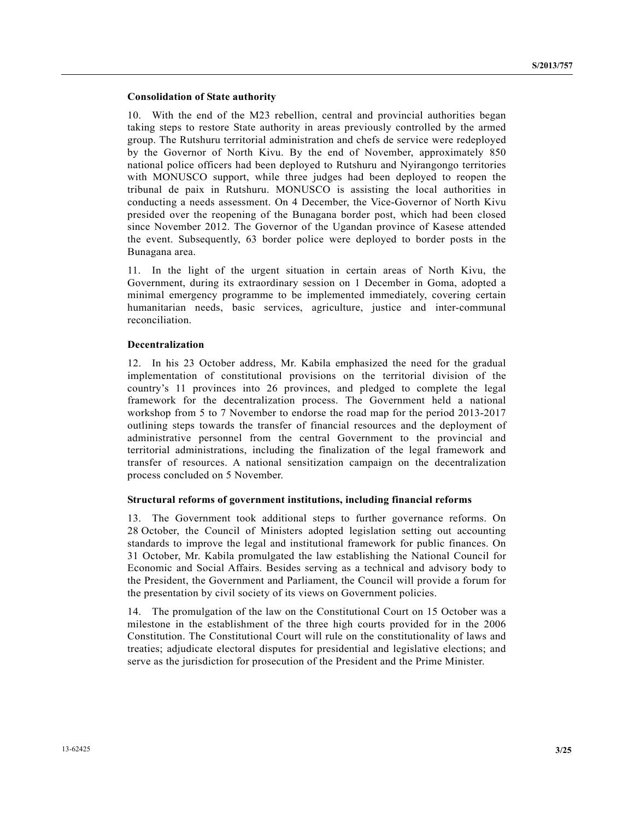#### **Consolidation of State authority**

10. With the end of the M23 rebellion, central and provincial authorities began taking steps to restore State authority in areas previously controlled by the armed group. The Rutshuru territorial administration and chefs de service were redeployed by the Governor of North Kivu. By the end of November, approximately 850 national police officers had been deployed to Rutshuru and Nyirangongo territories with MONUSCO support, while three judges had been deployed to reopen the tribunal de paix in Rutshuru. MONUSCO is assisting the local authorities in conducting a needs assessment. On 4 December, the Vice-Governor of North Kivu presided over the reopening of the Bunagana border post, which had been closed since November 2012. The Governor of the Ugandan province of Kasese attended the event. Subsequently, 63 border police were deployed to border posts in the Bunagana area.

11. In the light of the urgent situation in certain areas of North Kivu, the Government, during its extraordinary session on 1 December in Goma, adopted a minimal emergency programme to be implemented immediately, covering certain humanitarian needs, basic services, agriculture, justice and inter-communal reconciliation.

#### **Decentralization**

12. In his 23 October address, Mr. Kabila emphasized the need for the gradual implementation of constitutional provisions on the territorial division of the country's 11 provinces into 26 provinces, and pledged to complete the legal framework for the decentralization process. The Government held a national workshop from 5 to 7 November to endorse the road map for the period 2013-2017 outlining steps towards the transfer of financial resources and the deployment of administrative personnel from the central Government to the provincial and territorial administrations, including the finalization of the legal framework and transfer of resources. A national sensitization campaign on the decentralization process concluded on 5 November.

#### **Structural reforms of government institutions, including financial reforms**

13. The Government took additional steps to further governance reforms. On 28 October, the Council of Ministers adopted legislation setting out accounting standards to improve the legal and institutional framework for public finances. On 31 October, Mr. Kabila promulgated the law establishing the National Council for Economic and Social Affairs. Besides serving as a technical and advisory body to the President, the Government and Parliament, the Council will provide a forum for the presentation by civil society of its views on Government policies.

14. The promulgation of the law on the Constitutional Court on 15 October was a milestone in the establishment of the three high courts provided for in the 2006 Constitution. The Constitutional Court will rule on the constitutionality of laws and treaties; adjudicate electoral disputes for presidential and legislative elections; and serve as the jurisdiction for prosecution of the President and the Prime Minister.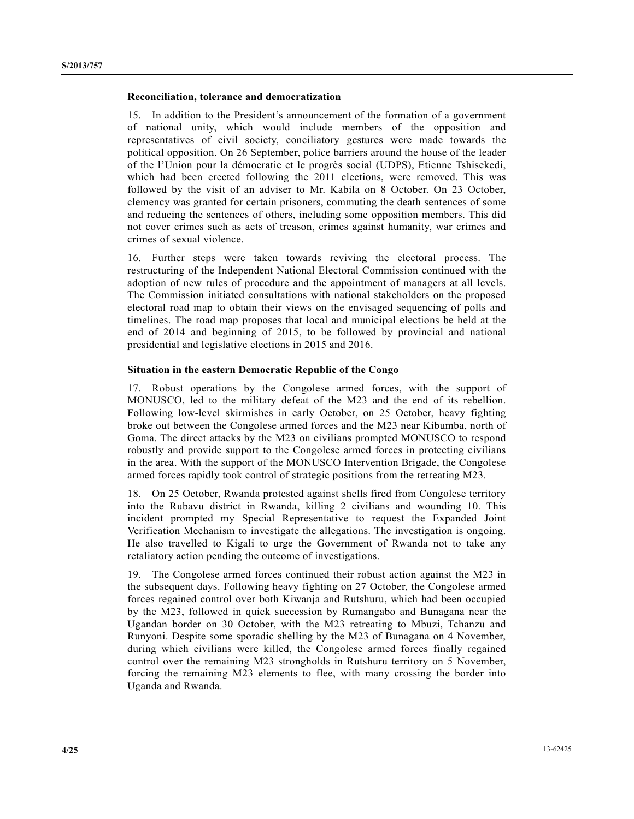#### **Reconciliation, tolerance and democratization**

15. In addition to the President's announcement of the formation of a government of national unity, which would include members of the opposition and representatives of civil society, conciliatory gestures were made towards the political opposition. On 26 September, police barriers around the house of the leader of the l'Union pour la démocratie et le progrès social (UDPS), Etienne Tshisekedi, which had been erected following the 2011 elections, were removed. This was followed by the visit of an adviser to Mr. Kabila on 8 October. On 23 October, clemency was granted for certain prisoners, commuting the death sentences of some and reducing the sentences of others, including some opposition members. This did not cover crimes such as acts of treason, crimes against humanity, war crimes and crimes of sexual violence.

16. Further steps were taken towards reviving the electoral process. The restructuring of the Independent National Electoral Commission continued with the adoption of new rules of procedure and the appointment of managers at all levels. The Commission initiated consultations with national stakeholders on the proposed electoral road map to obtain their views on the envisaged sequencing of polls and timelines. The road map proposes that local and municipal elections be held at the end of 2014 and beginning of 2015, to be followed by provincial and national presidential and legislative elections in 2015 and 2016.

#### **Situation in the eastern Democratic Republic of the Congo**

17. Robust operations by the Congolese armed forces, with the support of MONUSCO, led to the military defeat of the M23 and the end of its rebellion. Following low-level skirmishes in early October, on 25 October, heavy fighting broke out between the Congolese armed forces and the M23 near Kibumba, north of Goma. The direct attacks by the M23 on civilians prompted MONUSCO to respond robustly and provide support to the Congolese armed forces in protecting civilians in the area. With the support of the MONUSCO Intervention Brigade, the Congolese armed forces rapidly took control of strategic positions from the retreating M23.

18. On 25 October, Rwanda protested against shells fired from Congolese territory into the Rubavu district in Rwanda, killing 2 civilians and wounding 10. This incident prompted my Special Representative to request the Expanded Joint Verification Mechanism to investigate the allegations. The investigation is ongoing. He also travelled to Kigali to urge the Government of Rwanda not to take any retaliatory action pending the outcome of investigations.

19. The Congolese armed forces continued their robust action against the M23 in the subsequent days. Following heavy fighting on 27 October, the Congolese armed forces regained control over both Kiwanja and Rutshuru, which had been occupied by the M23, followed in quick succession by Rumangabo and Bunagana near the Ugandan border on 30 October, with the M23 retreating to Mbuzi, Tchanzu and Runyoni. Despite some sporadic shelling by the M23 of Bunagana on 4 November, during which civilians were killed, the Congolese armed forces finally regained control over the remaining M23 strongholds in Rutshuru territory on 5 November, forcing the remaining M23 elements to flee, with many crossing the border into Uganda and Rwanda.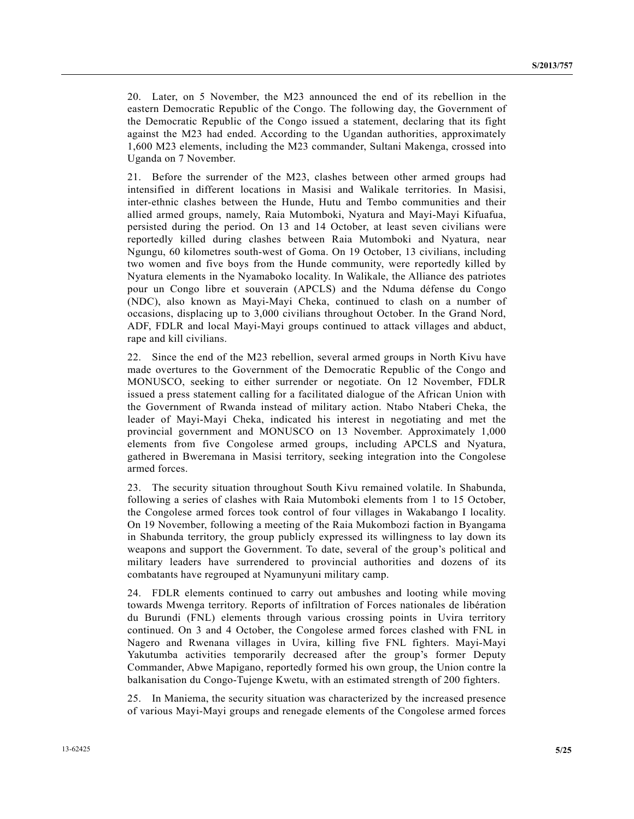20. Later, on 5 November, the M23 announced the end of its rebellion in the eastern Democratic Republic of the Congo. The following day, the Government of the Democratic Republic of the Congo issued a statement, declaring that its fight against the M23 had ended. According to the Ugandan authorities, approximately 1,600 M23 elements, including the M23 commander, Sultani Makenga, crossed into Uganda on 7 November.

21. Before the surrender of the M23, clashes between other armed groups had intensified in different locations in Masisi and Walikale territories. In Masisi, inter-ethnic clashes between the Hunde, Hutu and Tembo communities and their allied armed groups, namely, Raia Mutomboki, Nyatura and Mayi-Mayi Kifuafua, persisted during the period. On 13 and 14 October, at least seven civilians were reportedly killed during clashes between Raia Mutomboki and Nyatura, near Ngungu, 60 kilometres south-west of Goma. On 19 October, 13 civilians, including two women and five boys from the Hunde community, were reportedly killed by Nyatura elements in the Nyamaboko locality. In Walikale, the Alliance des patriotes pour un Congo libre et souverain (APCLS) and the Nduma défense du Congo (NDC), also known as Mayi-Mayi Cheka, continued to clash on a number of occasions, displacing up to 3,000 civilians throughout October. In the Grand Nord, ADF, FDLR and local Mayi-Mayi groups continued to attack villages and abduct, rape and kill civilians.

22. Since the end of the M23 rebellion, several armed groups in North Kivu have made overtures to the Government of the Democratic Republic of the Congo and MONUSCO, seeking to either surrender or negotiate. On 12 November, FDLR issued a press statement calling for a facilitated dialogue of the African Union with the Government of Rwanda instead of military action. Ntabo Ntaberi Cheka, the leader of Mayi-Mayi Cheka, indicated his interest in negotiating and met the provincial government and MONUSCO on 13 November. Approximately 1,000 elements from five Congolese armed groups, including APCLS and Nyatura, gathered in Bweremana in Masisi territory, seeking integration into the Congolese armed forces.

23. The security situation throughout South Kivu remained volatile. In Shabunda, following a series of clashes with Raia Mutomboki elements from 1 to 15 October, the Congolese armed forces took control of four villages in Wakabango I locality. On 19 November, following a meeting of the Raia Mukombozi faction in Byangama in Shabunda territory, the group publicly expressed its willingness to lay down its weapons and support the Government. To date, several of the group's political and military leaders have surrendered to provincial authorities and dozens of its combatants have regrouped at Nyamunyuni military camp.

24. FDLR elements continued to carry out ambushes and looting while moving towards Mwenga territory. Reports of infiltration of Forces nationales de libération du Burundi (FNL) elements through various crossing points in Uvira territory continued. On 3 and 4 October, the Congolese armed forces clashed with FNL in Nagero and Rwenana villages in Uvira, killing five FNL fighters. Mayi-Mayi Yakutumba activities temporarily decreased after the group's former Deputy Commander, Abwe Mapigano, reportedly formed his own group, the Union contre la balkanisation du Congo-Tujenge Kwetu, with an estimated strength of 200 fighters.

25. In Maniema, the security situation was characterized by the increased presence of various Mayi-Mayi groups and renegade elements of the Congolese armed forces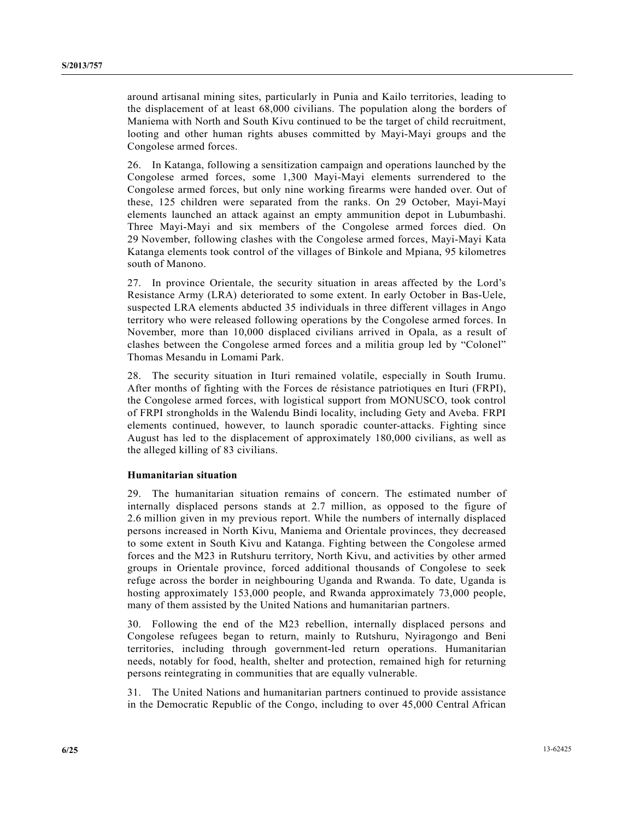around artisanal mining sites, particularly in Punia and Kailo territories, leading to the displacement of at least 68,000 civilians. The population along the borders of Maniema with North and South Kivu continued to be the target of child recruitment, looting and other human rights abuses committed by Mayi-Mayi groups and the Congolese armed forces.

26. In Katanga, following a sensitization campaign and operations launched by the Congolese armed forces, some 1,300 Mayi-Mayi elements surrendered to the Congolese armed forces, but only nine working firearms were handed over. Out of these, 125 children were separated from the ranks. On 29 October, Mayi-Mayi elements launched an attack against an empty ammunition depot in Lubumbashi. Three Mayi-Mayi and six members of the Congolese armed forces died. On 29 November, following clashes with the Congolese armed forces, Mayi-Mayi Kata Katanga elements took control of the villages of Binkole and Mpiana, 95 kilometres south of Manono.

27. In province Orientale, the security situation in areas affected by the Lord's Resistance Army (LRA) deteriorated to some extent. In early October in Bas-Uele, suspected LRA elements abducted 35 individuals in three different villages in Ango territory who were released following operations by the Congolese armed forces. In November, more than 10,000 displaced civilians arrived in Opala, as a result of clashes between the Congolese armed forces and a militia group led by "Colonel" Thomas Mesandu in Lomami Park.

28. The security situation in Ituri remained volatile, especially in South Irumu. After months of fighting with the Forces de résistance patriotiques en Ituri (FRPI), the Congolese armed forces, with logistical support from MONUSCO, took control of FRPI strongholds in the Walendu Bindi locality, including Gety and Aveba. FRPI elements continued, however, to launch sporadic counter-attacks. Fighting since August has led to the displacement of approximately 180,000 civilians, as well as the alleged killing of 83 civilians.

#### **Humanitarian situation**

29. The humanitarian situation remains of concern. The estimated number of internally displaced persons stands at 2.7 million, as opposed to the figure of 2.6 million given in my previous report. While the numbers of internally displaced persons increased in North Kivu, Maniema and Orientale provinces, they decreased to some extent in South Kivu and Katanga. Fighting between the Congolese armed forces and the M23 in Rutshuru territory, North Kivu, and activities by other armed groups in Orientale province, forced additional thousands of Congolese to seek refuge across the border in neighbouring Uganda and Rwanda. To date, Uganda is hosting approximately 153,000 people, and Rwanda approximately 73,000 people, many of them assisted by the United Nations and humanitarian partners.

30. Following the end of the M23 rebellion, internally displaced persons and Congolese refugees began to return, mainly to Rutshuru, Nyiragongo and Beni territories, including through government-led return operations. Humanitarian needs, notably for food, health, shelter and protection, remained high for returning persons reintegrating in communities that are equally vulnerable.

31. The United Nations and humanitarian partners continued to provide assistance in the Democratic Republic of the Congo, including to over 45,000 Central African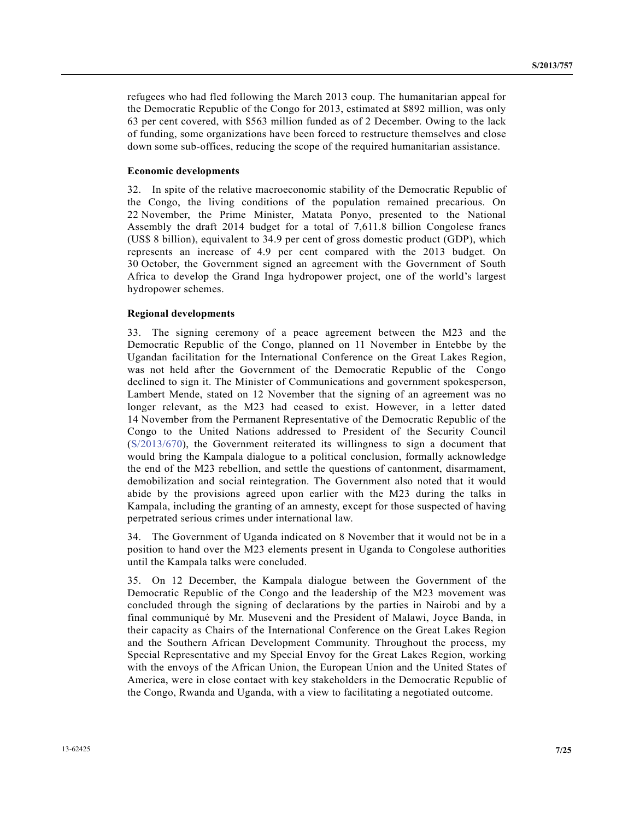refugees who had fled following the March 2013 coup. The humanitarian appeal for the Democratic Republic of the Congo for 2013, estimated at \$892 million, was only 63 per cent covered, with \$563 million funded as of 2 December. Owing to the lack of funding, some organizations have been forced to restructure themselves and close down some sub-offices, reducing the scope of the required humanitarian assistance.

#### **Economic developments**

32. In spite of the relative macroeconomic stability of the Democratic Republic of the Congo, the living conditions of the population remained precarious. On 22 November, the Prime Minister, Matata Ponyo, presented to the National Assembly the draft 2014 budget for a total of 7,611.8 billion Congolese francs (US\$ 8 billion), equivalent to 34.9 per cent of gross domestic product (GDP), which represents an increase of 4.9 per cent compared with the 2013 budget. On 30 October, the Government signed an agreement with the Government of South Africa to develop the Grand Inga hydropower project, one of the world's largest hydropower schemes.

#### **Regional developments**

33. The signing ceremony of a peace agreement between the M23 and the Democratic Republic of the Congo, planned on 11 November in Entebbe by the Ugandan facilitation for the International Conference on the Great Lakes Region, was not held after the Government of the Democratic Republic of the Congo declined to sign it. The Minister of Communications and government spokesperson, Lambert Mende, stated on 12 November that the signing of an agreement was no longer relevant, as the M23 had ceased to exist. However, in a letter dated 14 November from the Permanent Representative of the Democratic Republic of the Congo to the United Nations addressed to President of the Security Council (S/2013/670), the Government reiterated its willingness to sign a document that would bring the Kampala dialogue to a political conclusion, formally acknowledge the end of the M23 rebellion, and settle the questions of cantonment, disarmament, demobilization and social reintegration. The Government also noted that it would abide by the provisions agreed upon earlier with the M23 during the talks in Kampala, including the granting of an amnesty, except for those suspected of having perpetrated serious crimes under international law.

34. The Government of Uganda indicated on 8 November that it would not be in a position to hand over the M23 elements present in Uganda to Congolese authorities until the Kampala talks were concluded.

35. On 12 December, the Kampala dialogue between the Government of the Democratic Republic of the Congo and the leadership of the M23 movement was concluded through the signing of declarations by the parties in Nairobi and by a final communiqué by Mr. Museveni and the President of Malawi, Joyce Banda, in their capacity as Chairs of the International Conference on the Great Lakes Region and the Southern African Development Community. Throughout the process, my Special Representative and my Special Envoy for the Great Lakes Region, working with the envoys of the African Union, the European Union and the United States of America, were in close contact with key stakeholders in the Democratic Republic of the Congo, Rwanda and Uganda, with a view to facilitating a negotiated outcome.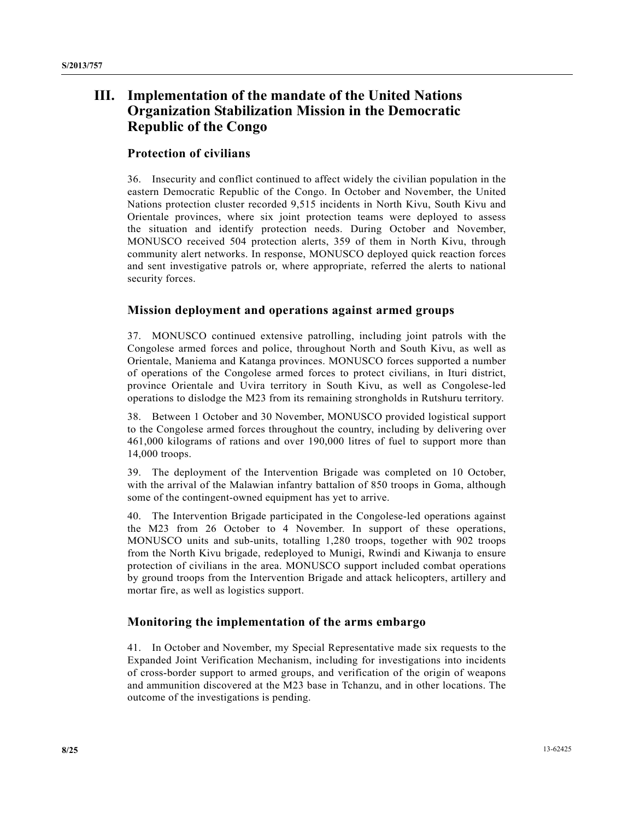# **III. Implementation of the mandate of the United Nations Organization Stabilization Mission in the Democratic Republic of the Congo**

## **Protection of civilians**

36. Insecurity and conflict continued to affect widely the civilian population in the eastern Democratic Republic of the Congo. In October and November, the United Nations protection cluster recorded 9,515 incidents in North Kivu, South Kivu and Orientale provinces, where six joint protection teams were deployed to assess the situation and identify protection needs. During October and November, MONUSCO received 504 protection alerts, 359 of them in North Kivu, through community alert networks. In response, MONUSCO deployed quick reaction forces and sent investigative patrols or, where appropriate, referred the alerts to national security forces.

## **Mission deployment and operations against armed groups**

37. MONUSCO continued extensive patrolling, including joint patrols with the Congolese armed forces and police, throughout North and South Kivu, as well as Orientale, Maniema and Katanga provinces. MONUSCO forces supported a number of operations of the Congolese armed forces to protect civilians, in Ituri district, province Orientale and Uvira territory in South Kivu, as well as Congolese-led operations to dislodge the M23 from its remaining strongholds in Rutshuru territory.

38. Between 1 October and 30 November, MONUSCO provided logistical support to the Congolese armed forces throughout the country, including by delivering over 461,000 kilograms of rations and over 190,000 litres of fuel to support more than 14,000 troops.

39. The deployment of the Intervention Brigade was completed on 10 October, with the arrival of the Malawian infantry battalion of 850 troops in Goma, although some of the contingent-owned equipment has yet to arrive.

40. The Intervention Brigade participated in the Congolese-led operations against the M23 from 26 October to 4 November. In support of these operations, MONUSCO units and sub-units, totalling 1,280 troops, together with 902 troops from the North Kivu brigade, redeployed to Munigi, Rwindi and Kiwanja to ensure protection of civilians in the area. MONUSCO support included combat operations by ground troops from the Intervention Brigade and attack helicopters, artillery and mortar fire, as well as logistics support.

## **Monitoring the implementation of the arms embargo**

41. In October and November, my Special Representative made six requests to the Expanded Joint Verification Mechanism, including for investigations into incidents of cross-border support to armed groups, and verification of the origin of weapons and ammunition discovered at the M23 base in Tchanzu, and in other locations. The outcome of the investigations is pending.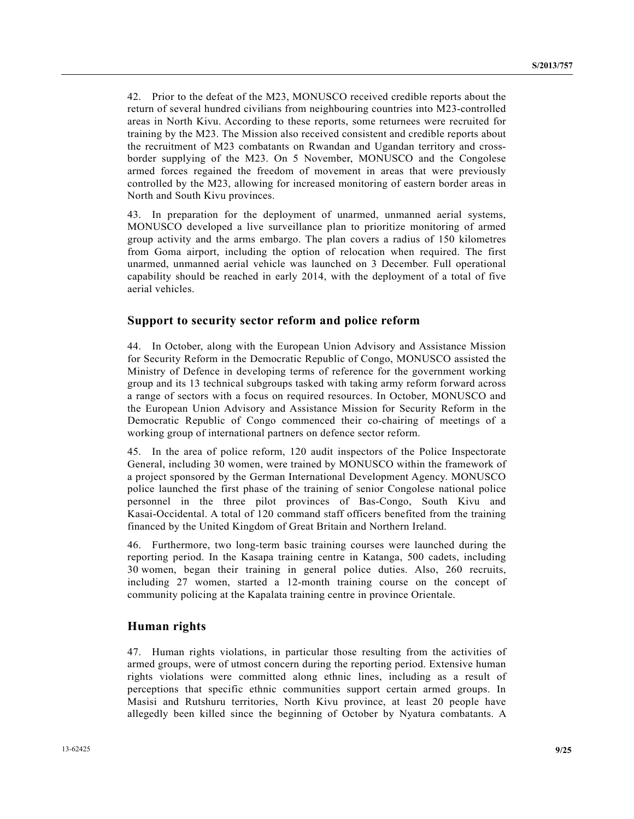42. Prior to the defeat of the M23, MONUSCO received credible reports about the return of several hundred civilians from neighbouring countries into M23-controlled areas in North Kivu. According to these reports, some returnees were recruited for training by the M23. The Mission also received consistent and credible reports about the recruitment of M23 combatants on Rwandan and Ugandan territory and crossborder supplying of the M23. On 5 November, MONUSCO and the Congolese armed forces regained the freedom of movement in areas that were previously controlled by the M23, allowing for increased monitoring of eastern border areas in North and South Kivu provinces.

43. In preparation for the deployment of unarmed, unmanned aerial systems, MONUSCO developed a live surveillance plan to prioritize monitoring of armed group activity and the arms embargo. The plan covers a radius of 150 kilometres from Goma airport, including the option of relocation when required. The first unarmed, unmanned aerial vehicle was launched on 3 December. Full operational capability should be reached in early 2014, with the deployment of a total of five aerial vehicles.

## **Support to security sector reform and police reform**

44. In October, along with the European Union Advisory and Assistance Mission for Security Reform in the Democratic Republic of Congo, MONUSCO assisted the Ministry of Defence in developing terms of reference for the government working group and its 13 technical subgroups tasked with taking army reform forward across a range of sectors with a focus on required resources. In October, MONUSCO and the European Union Advisory and Assistance Mission for Security Reform in the Democratic Republic of Congo commenced their co-chairing of meetings of a working group of international partners on defence sector reform.

45. In the area of police reform, 120 audit inspectors of the Police Inspectorate General, including 30 women, were trained by MONUSCO within the framework of a project sponsored by the German International Development Agency. MONUSCO police launched the first phase of the training of senior Congolese national police personnel in the three pilot provinces of Bas-Congo, South Kivu and Kasai-Occidental. A total of 120 command staff officers benefited from the training financed by the United Kingdom of Great Britain and Northern Ireland.

46. Furthermore, two long-term basic training courses were launched during the reporting period. In the Kasapa training centre in Katanga, 500 cadets, including 30 women, began their training in general police duties. Also, 260 recruits, including 27 women, started a 12-month training course on the concept of community policing at the Kapalata training centre in province Orientale.

## **Human rights**

47. Human rights violations, in particular those resulting from the activities of armed groups, were of utmost concern during the reporting period. Extensive human rights violations were committed along ethnic lines, including as a result of perceptions that specific ethnic communities support certain armed groups. In Masisi and Rutshuru territories, North Kivu province, at least 20 people have allegedly been killed since the beginning of October by Nyatura combatants. A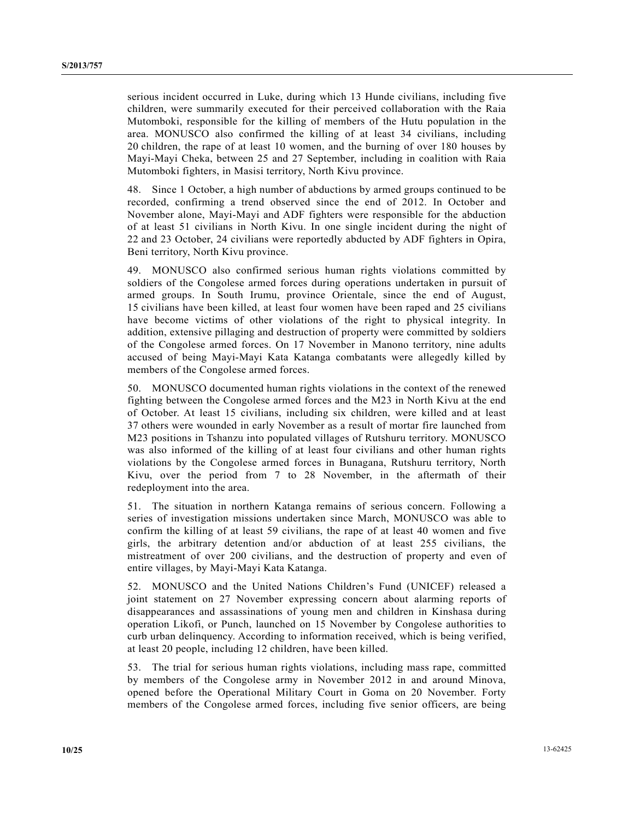serious incident occurred in Luke, during which 13 Hunde civilians, including five children, were summarily executed for their perceived collaboration with the Raia Mutomboki, responsible for the killing of members of the Hutu population in the area. MONUSCO also confirmed the killing of at least 34 civilians, including 20 children, the rape of at least 10 women, and the burning of over 180 houses by Mayi-Mayi Cheka, between 25 and 27 September, including in coalition with Raia Mutomboki fighters, in Masisi territory, North Kivu province.

48. Since 1 October, a high number of abductions by armed groups continued to be recorded, confirming a trend observed since the end of 2012. In October and November alone, Mayi-Mayi and ADF fighters were responsible for the abduction of at least 51 civilians in North Kivu. In one single incident during the night of 22 and 23 October, 24 civilians were reportedly abducted by ADF fighters in Opira, Beni territory, North Kivu province.

49. MONUSCO also confirmed serious human rights violations committed by soldiers of the Congolese armed forces during operations undertaken in pursuit of armed groups. In South Irumu, province Orientale, since the end of August, 15 civilians have been killed, at least four women have been raped and 25 civilians have become victims of other violations of the right to physical integrity. In addition, extensive pillaging and destruction of property were committed by soldiers of the Congolese armed forces. On 17 November in Manono territory, nine adults accused of being Mayi-Mayi Kata Katanga combatants were allegedly killed by members of the Congolese armed forces.

50. MONUSCO documented human rights violations in the context of the renewed fighting between the Congolese armed forces and the M23 in North Kivu at the end of October. At least 15 civilians, including six children, were killed and at least 37 others were wounded in early November as a result of mortar fire launched from M23 positions in Tshanzu into populated villages of Rutshuru territory. MONUSCO was also informed of the killing of at least four civilians and other human rights violations by the Congolese armed forces in Bunagana, Rutshuru territory, North Kivu, over the period from 7 to 28 November, in the aftermath of their redeployment into the area.

51. The situation in northern Katanga remains of serious concern. Following a series of investigation missions undertaken since March, MONUSCO was able to confirm the killing of at least 59 civilians, the rape of at least 40 women and five girls, the arbitrary detention and/or abduction of at least 255 civilians, the mistreatment of over 200 civilians, and the destruction of property and even of entire villages, by Mayi-Mayi Kata Katanga.

52. MONUSCO and the United Nations Children's Fund (UNICEF) released a joint statement on 27 November expressing concern about alarming reports of disappearances and assassinations of young men and children in Kinshasa during operation Likofi, or Punch, launched on 15 November by Congolese authorities to curb urban delinquency. According to information received, which is being verified, at least 20 people, including 12 children, have been killed.

53. The trial for serious human rights violations, including mass rape, committed by members of the Congolese army in November 2012 in and around Minova, opened before the Operational Military Court in Goma on 20 November. Forty members of the Congolese armed forces, including five senior officers, are being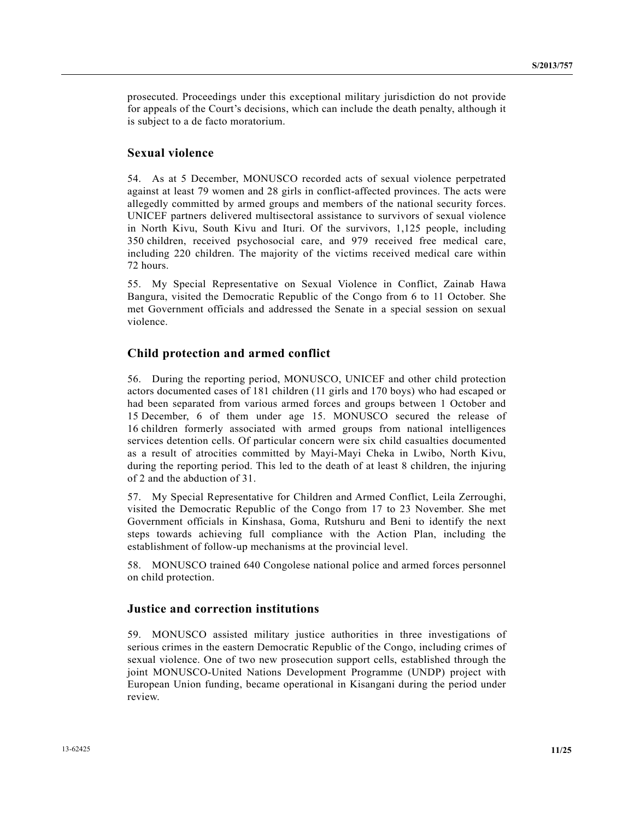prosecuted. Proceedings under this exceptional military jurisdiction do not provide for appeals of the Court's decisions, which can include the death penalty, although it is subject to a de facto moratorium.

#### **Sexual violence**

54. As at 5 December, MONUSCO recorded acts of sexual violence perpetrated against at least 79 women and 28 girls in conflict-affected provinces. The acts were allegedly committed by armed groups and members of the national security forces. UNICEF partners delivered multisectoral assistance to survivors of sexual violence in North Kivu, South Kivu and Ituri. Of the survivors, 1,125 people, including 350 children, received psychosocial care, and 979 received free medical care, including 220 children. The majority of the victims received medical care within 72 hours.

55. My Special Representative on Sexual Violence in Conflict, Zainab Hawa Bangura, visited the Democratic Republic of the Congo from 6 to 11 October. She met Government officials and addressed the Senate in a special session on sexual violence.

#### **Child protection and armed conflict**

56. During the reporting period, MONUSCO, UNICEF and other child protection actors documented cases of 181 children (11 girls and 170 boys) who had escaped or had been separated from various armed forces and groups between 1 October and 15 December, 6 of them under age 15. MONUSCO secured the release of 16 children formerly associated with armed groups from national intelligences services detention cells. Of particular concern were six child casualties documented as a result of atrocities committed by Mayi-Mayi Cheka in Lwibo, North Kivu, during the reporting period. This led to the death of at least 8 children, the injuring of 2 and the abduction of 31.

57. My Special Representative for Children and Armed Conflict, Leila Zerroughi, visited the Democratic Republic of the Congo from 17 to 23 November. She met Government officials in Kinshasa, Goma, Rutshuru and Beni to identify the next steps towards achieving full compliance with the Action Plan, including the establishment of follow-up mechanisms at the provincial level.

58. MONUSCO trained 640 Congolese national police and armed forces personnel on child protection.

#### **Justice and correction institutions**

59. MONUSCO assisted military justice authorities in three investigations of serious crimes in the eastern Democratic Republic of the Congo, including crimes of sexual violence. One of two new prosecution support cells, established through the joint MONUSCO-United Nations Development Programme (UNDP) project with European Union funding, became operational in Kisangani during the period under review.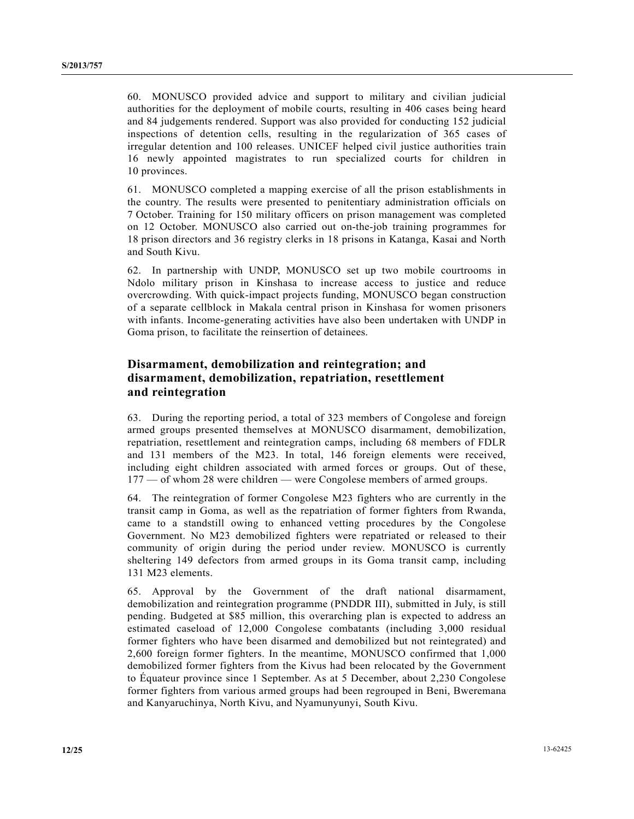60. MONUSCO provided advice and support to military and civilian judicial authorities for the deployment of mobile courts, resulting in 406 cases being heard and 84 judgements rendered. Support was also provided for conducting 152 judicial inspections of detention cells, resulting in the regularization of 365 cases of irregular detention and 100 releases. UNICEF helped civil justice authorities train 16 newly appointed magistrates to run specialized courts for children in 10 provinces.

61. MONUSCO completed a mapping exercise of all the prison establishments in the country. The results were presented to penitentiary administration officials on 7 October. Training for 150 military officers on prison management was completed on 12 October. MONUSCO also carried out on-the-job training programmes for 18 prison directors and 36 registry clerks in 18 prisons in Katanga, Kasai and North and South Kivu.

62. In partnership with UNDP, MONUSCO set up two mobile courtrooms in Ndolo military prison in Kinshasa to increase access to justice and reduce overcrowding. With quick-impact projects funding, MONUSCO began construction of a separate cellblock in Makala central prison in Kinshasa for women prisoners with infants. Income-generating activities have also been undertaken with UNDP in Goma prison, to facilitate the reinsertion of detainees.

## **Disarmament, demobilization and reintegration; and disarmament, demobilization, repatriation, resettlement and reintegration**

63. During the reporting period, a total of 323 members of Congolese and foreign armed groups presented themselves at MONUSCO disarmament, demobilization, repatriation, resettlement and reintegration camps, including 68 members of FDLR and 131 members of the M23. In total, 146 foreign elements were received, including eight children associated with armed forces or groups. Out of these, 177 — of whom 28 were children — were Congolese members of armed groups.

64. The reintegration of former Congolese M23 fighters who are currently in the transit camp in Goma, as well as the repatriation of former fighters from Rwanda, came to a standstill owing to enhanced vetting procedures by the Congolese Government. No M23 demobilized fighters were repatriated or released to their community of origin during the period under review. MONUSCO is currently sheltering 149 defectors from armed groups in its Goma transit camp, including 131 M23 elements.

65. Approval by the Government of the draft national disarmament, demobilization and reintegration programme (PNDDR III), submitted in July, is still pending. Budgeted at \$85 million, this overarching plan is expected to address an estimated caseload of 12,000 Congolese combatants (including 3,000 residual former fighters who have been disarmed and demobilized but not reintegrated) and 2,600 foreign former fighters. In the meantime, MONUSCO confirmed that 1,000 demobilized former fighters from the Kivus had been relocated by the Government to Équateur province since 1 September. As at 5 December, about 2,230 Congolese former fighters from various armed groups had been regrouped in Beni, Bweremana and Kanyaruchinya, North Kivu, and Nyamunyunyi, South Kivu.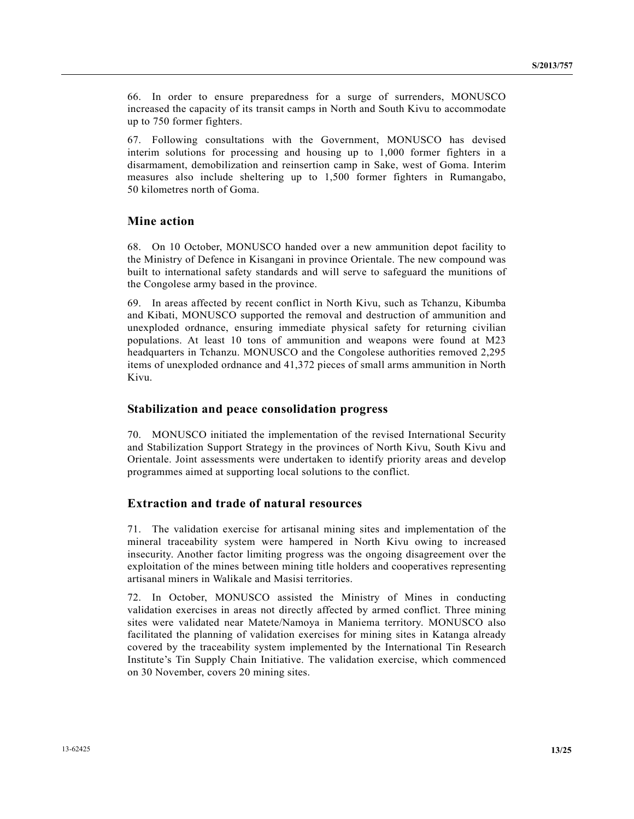66. In order to ensure preparedness for a surge of surrenders, MONUSCO increased the capacity of its transit camps in North and South Kivu to accommodate up to 750 former fighters.

67. Following consultations with the Government, MONUSCO has devised interim solutions for processing and housing up to 1,000 former fighters in a disarmament, demobilization and reinsertion camp in Sake, west of Goma. Interim measures also include sheltering up to 1,500 former fighters in Rumangabo, 50 kilometres north of Goma.

#### **Mine action**

68. On 10 October, MONUSCO handed over a new ammunition depot facility to the Ministry of Defence in Kisangani in province Orientale. The new compound was built to international safety standards and will serve to safeguard the munitions of the Congolese army based in the province.

69. In areas affected by recent conflict in North Kivu, such as Tchanzu, Kibumba and Kibati, MONUSCO supported the removal and destruction of ammunition and unexploded ordnance, ensuring immediate physical safety for returning civilian populations. At least 10 tons of ammunition and weapons were found at M23 headquarters in Tchanzu. MONUSCO and the Congolese authorities removed 2,295 items of unexploded ordnance and 41,372 pieces of small arms ammunition in North Kivu.

#### **Stabilization and peace consolidation progress**

70. MONUSCO initiated the implementation of the revised International Security and Stabilization Support Strategy in the provinces of North Kivu, South Kivu and Orientale. Joint assessments were undertaken to identify priority areas and develop programmes aimed at supporting local solutions to the conflict.

#### **Extraction and trade of natural resources**

71. The validation exercise for artisanal mining sites and implementation of the mineral traceability system were hampered in North Kivu owing to increased insecurity. Another factor limiting progress was the ongoing disagreement over the exploitation of the mines between mining title holders and cooperatives representing artisanal miners in Walikale and Masisi territories.

72. In October, MONUSCO assisted the Ministry of Mines in conducting validation exercises in areas not directly affected by armed conflict. Three mining sites were validated near Matete/Namoya in Maniema territory. MONUSCO also facilitated the planning of validation exercises for mining sites in Katanga already covered by the traceability system implemented by the International Tin Research Institute's Tin Supply Chain Initiative. The validation exercise, which commenced on 30 November, covers 20 mining sites.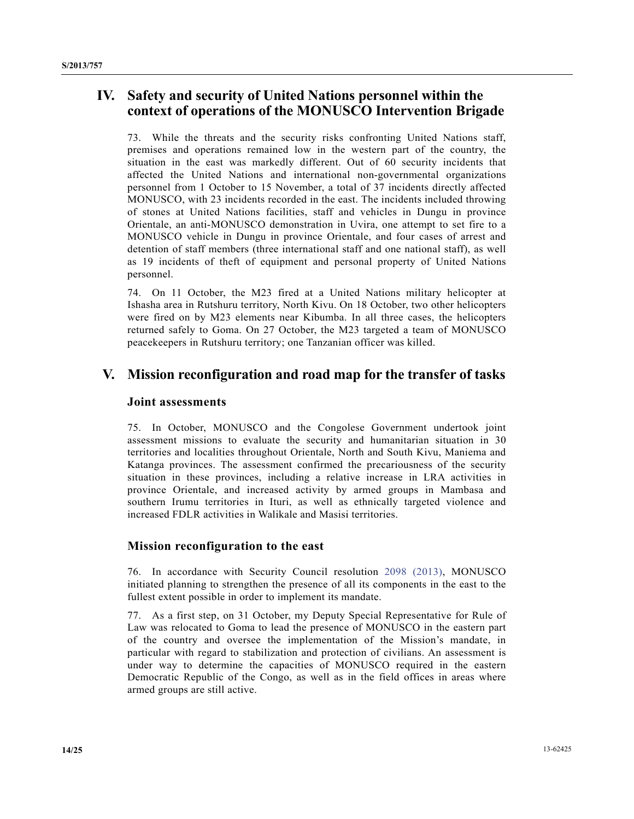# **IV. Safety and security of United Nations personnel within the context of operations of the MONUSCO Intervention Brigade**

73. While the threats and the security risks confronting United Nations staff, premises and operations remained low in the western part of the country, the situation in the east was markedly different. Out of 60 security incidents that affected the United Nations and international non-governmental organizations personnel from 1 October to 15 November, a total of 37 incidents directly affected MONUSCO, with 23 incidents recorded in the east. The incidents included throwing of stones at United Nations facilities, staff and vehicles in Dungu in province Orientale, an anti-MONUSCO demonstration in Uvira, one attempt to set fire to a MONUSCO vehicle in Dungu in province Orientale, and four cases of arrest and detention of staff members (three international staff and one national staff), as well as 19 incidents of theft of equipment and personal property of United Nations personnel.

74. On 11 October, the M23 fired at a United Nations military helicopter at Ishasha area in Rutshuru territory, North Kivu. On 18 October, two other helicopters were fired on by M23 elements near Kibumba. In all three cases, the helicopters returned safely to Goma. On 27 October, the M23 targeted a team of MONUSCO peacekeepers in Rutshuru territory; one Tanzanian officer was killed.

# **V. Mission reconfiguration and road map for the transfer of tasks**

## **Joint assessments**

75. In October, MONUSCO and the Congolese Government undertook joint assessment missions to evaluate the security and humanitarian situation in 30 territories and localities throughout Orientale, North and South Kivu, Maniema and Katanga provinces. The assessment confirmed the precariousness of the security situation in these provinces, including a relative increase in LRA activities in province Orientale, and increased activity by armed groups in Mambasa and southern Irumu territories in Ituri, as well as ethnically targeted violence and increased FDLR activities in Walikale and Masisi territories.

## **Mission reconfiguration to the east**

76. In accordance with Security Council resolution 2098 (2013), MONUSCO initiated planning to strengthen the presence of all its components in the east to the fullest extent possible in order to implement its mandate.

77. As a first step, on 31 October, my Deputy Special Representative for Rule of Law was relocated to Goma to lead the presence of MONUSCO in the eastern part of the country and oversee the implementation of the Mission's mandate, in particular with regard to stabilization and protection of civilians. An assessment is under way to determine the capacities of MONUSCO required in the eastern Democratic Republic of the Congo, as well as in the field offices in areas where armed groups are still active.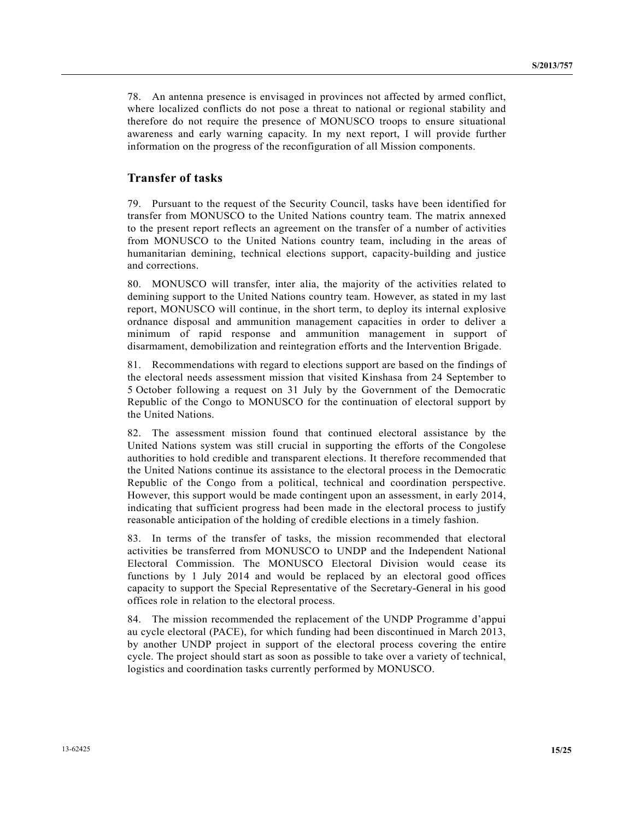78. An antenna presence is envisaged in provinces not affected by armed conflict, where localized conflicts do not pose a threat to national or regional stability and therefore do not require the presence of MONUSCO troops to ensure situational awareness and early warning capacity. In my next report, I will provide further information on the progress of the reconfiguration of all Mission components.

#### **Transfer of tasks**

79. Pursuant to the request of the Security Council, tasks have been identified for transfer from MONUSCO to the United Nations country team. The matrix annexed to the present report reflects an agreement on the transfer of a number of activities from MONUSCO to the United Nations country team, including in the areas of humanitarian demining, technical elections support, capacity-building and justice and corrections.

80. MONUSCO will transfer, inter alia, the majority of the activities related to demining support to the United Nations country team. However, as stated in my last report, MONUSCO will continue, in the short term, to deploy its internal explosive ordnance disposal and ammunition management capacities in order to deliver a minimum of rapid response and ammunition management in support of disarmament, demobilization and reintegration efforts and the Intervention Brigade.

81. Recommendations with regard to elections support are based on the findings of the electoral needs assessment mission that visited Kinshasa from 24 September to 5 October following a request on 31 July by the Government of the Democratic Republic of the Congo to MONUSCO for the continuation of electoral support by the United Nations.

82. The assessment mission found that continued electoral assistance by the United Nations system was still crucial in supporting the efforts of the Congolese authorities to hold credible and transparent elections. It therefore recommended that the United Nations continue its assistance to the electoral process in the Democratic Republic of the Congo from a political, technical and coordination perspective. However, this support would be made contingent upon an assessment, in early 2014, indicating that sufficient progress had been made in the electoral process to justify reasonable anticipation of the holding of credible elections in a timely fashion.

83. In terms of the transfer of tasks, the mission recommended that electoral activities be transferred from MONUSCO to UNDP and the Independent National Electoral Commission. The MONUSCO Electoral Division would cease its functions by 1 July 2014 and would be replaced by an electoral good offices capacity to support the Special Representative of the Secretary-General in his good offices role in relation to the electoral process.

84. The mission recommended the replacement of the UNDP Programme d'appui au cycle electoral (PACE), for which funding had been discontinued in March 2013, by another UNDP project in support of the electoral process covering the entire cycle. The project should start as soon as possible to take over a variety of technical, logistics and coordination tasks currently performed by MONUSCO.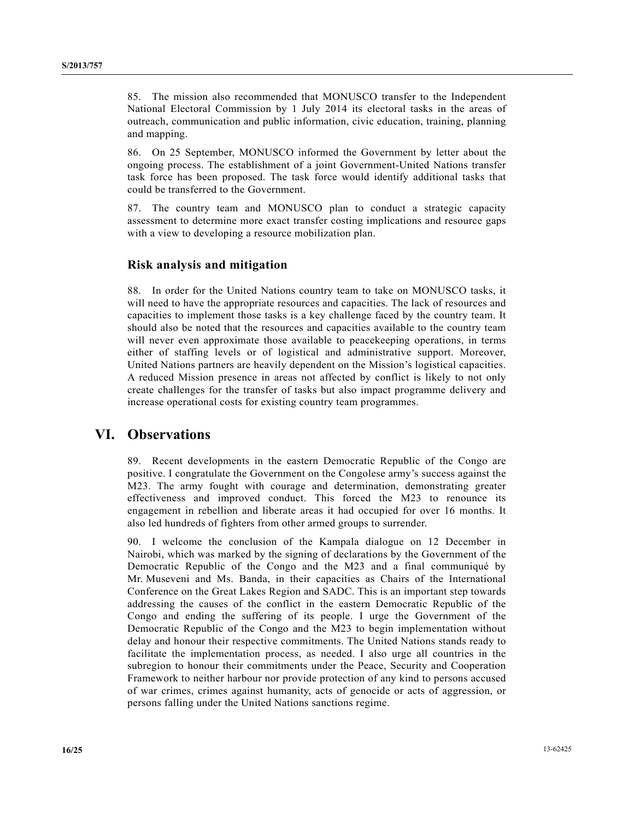85. The mission also recommended that MONUSCO transfer to the Independent National Electoral Commission by 1 July 2014 its electoral tasks in the areas of outreach, communication and public information, civic education, training, planning and mapping.

86. On 25 September, MONUSCO informed the Government by letter about the ongoing process. The establishment of a joint Government-United Nations transfer task force has been proposed. The task force would identify additional tasks that could be transferred to the Government.

87. The country team and MONUSCO plan to conduct a strategic capacity assessment to determine more exact transfer costing implications and resource gaps with a view to developing a resource mobilization plan.

## **Risk analysis and mitigation**

88. In order for the United Nations country team to take on MONUSCO tasks, it will need to have the appropriate resources and capacities. The lack of resources and capacities to implement those tasks is a key challenge faced by the country team. It should also be noted that the resources and capacities available to the country team will never even approximate those available to peacekeeping operations, in terms either of staffing levels or of logistical and administrative support. Moreover, United Nations partners are heavily dependent on the Mission's logistical capacities. A reduced Mission presence in areas not affected by conflict is likely to not only create challenges for the transfer of tasks but also impact programme delivery and increase operational costs for existing country team programmes.

# **VI. Observations**

89. Recent developments in the eastern Democratic Republic of the Congo are positive. I congratulate the Government on the Congolese army's success against the M23. The army fought with courage and determination, demonstrating greater effectiveness and improved conduct. This forced the M23 to renounce its engagement in rebellion and liberate areas it had occupied for over 16 months. It also led hundreds of fighters from other armed groups to surrender.

90. I welcome the conclusion of the Kampala dialogue on 12 December in Nairobi, which was marked by the signing of declarations by the Government of the Democratic Republic of the Congo and the M23 and a final communiqué by Mr. Museveni and Ms. Banda, in their capacities as Chairs of the International Conference on the Great Lakes Region and SADC. This is an important step towards addressing the causes of the conflict in the eastern Democratic Republic of the Congo and ending the suffering of its people. I urge the Government of the Democratic Republic of the Congo and the M23 to begin implementation without delay and honour their respective commitments. The United Nations stands ready to facilitate the implementation process, as needed. I also urge all countries in the subregion to honour their commitments under the Peace, Security and Cooperation Framework to neither harbour nor provide protection of any kind to persons accused of war crimes, crimes against humanity, acts of genocide or acts of aggression, or persons falling under the United Nations sanctions regime.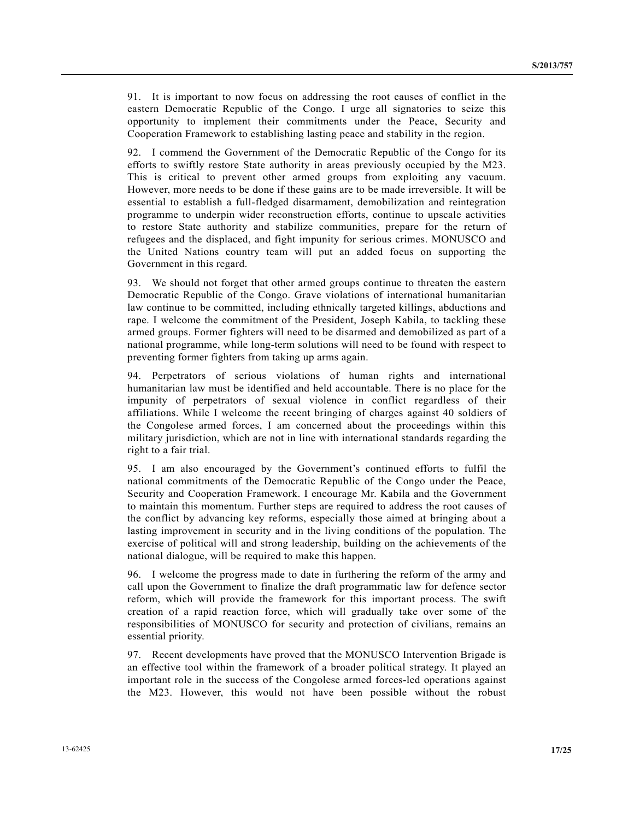91. It is important to now focus on addressing the root causes of conflict in the eastern Democratic Republic of the Congo. I urge all signatories to seize this opportunity to implement their commitments under the Peace, Security and Cooperation Framework to establishing lasting peace and stability in the region.

92. I commend the Government of the Democratic Republic of the Congo for its efforts to swiftly restore State authority in areas previously occupied by the M23. This is critical to prevent other armed groups from exploiting any vacuum. However, more needs to be done if these gains are to be made irreversible. It will be essential to establish a full-fledged disarmament, demobilization and reintegration programme to underpin wider reconstruction efforts, continue to upscale activities to restore State authority and stabilize communities, prepare for the return of refugees and the displaced, and fight impunity for serious crimes. MONUSCO and the United Nations country team will put an added focus on supporting the Government in this regard.

93. We should not forget that other armed groups continue to threaten the eastern Democratic Republic of the Congo. Grave violations of international humanitarian law continue to be committed, including ethnically targeted killings, abductions and rape. I welcome the commitment of the President, Joseph Kabila, to tackling these armed groups. Former fighters will need to be disarmed and demobilized as part of a national programme, while long-term solutions will need to be found with respect to preventing former fighters from taking up arms again.

94. Perpetrators of serious violations of human rights and international humanitarian law must be identified and held accountable. There is no place for the impunity of perpetrators of sexual violence in conflict regardless of their affiliations. While I welcome the recent bringing of charges against 40 soldiers of the Congolese armed forces, I am concerned about the proceedings within this military jurisdiction, which are not in line with international standards regarding the right to a fair trial.

95. I am also encouraged by the Government's continued efforts to fulfil the national commitments of the Democratic Republic of the Congo under the Peace, Security and Cooperation Framework. I encourage Mr. Kabila and the Government to maintain this momentum. Further steps are required to address the root causes of the conflict by advancing key reforms, especially those aimed at bringing about a lasting improvement in security and in the living conditions of the population. The exercise of political will and strong leadership, building on the achievements of the national dialogue, will be required to make this happen.

96. I welcome the progress made to date in furthering the reform of the army and call upon the Government to finalize the draft programmatic law for defence sector reform, which will provide the framework for this important process. The swift creation of a rapid reaction force, which will gradually take over some of the responsibilities of MONUSCO for security and protection of civilians, remains an essential priority.

97. Recent developments have proved that the MONUSCO Intervention Brigade is an effective tool within the framework of a broader political strategy. It played an important role in the success of the Congolese armed forces-led operations against the M23. However, this would not have been possible without the robust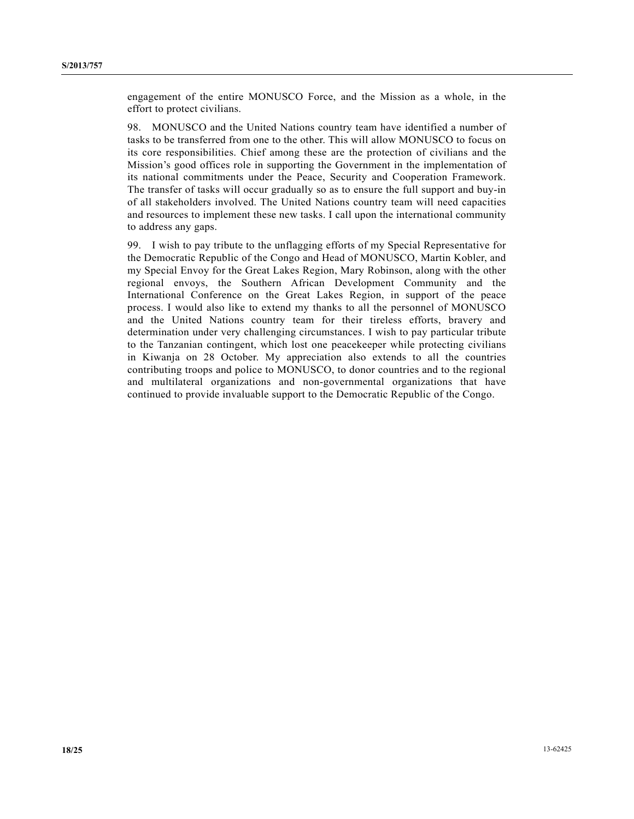engagement of the entire MONUSCO Force, and the Mission as a whole, in the effort to protect civilians.

98. MONUSCO and the United Nations country team have identified a number of tasks to be transferred from one to the other. This will allow MONUSCO to focus on its core responsibilities. Chief among these are the protection of civilians and the Mission's good offices role in supporting the Government in the implementation of its national commitments under the Peace, Security and Cooperation Framework. The transfer of tasks will occur gradually so as to ensure the full support and buy-in of all stakeholders involved. The United Nations country team will need capacities and resources to implement these new tasks. I call upon the international community to address any gaps.

99. I wish to pay tribute to the unflagging efforts of my Special Representative for the Democratic Republic of the Congo and Head of MONUSCO, Martin Kobler, and my Special Envoy for the Great Lakes Region, Mary Robinson, along with the other regional envoys, the Southern African Development Community and the International Conference on the Great Lakes Region, in support of the peace process. I would also like to extend my thanks to all the personnel of MONUSCO and the United Nations country team for their tireless efforts, bravery and determination under very challenging circumstances. I wish to pay particular tribute to the Tanzanian contingent, which lost one peacekeeper while protecting civilians in Kiwanja on 28 October. My appreciation also extends to all the countries contributing troops and police to MONUSCO, to donor countries and to the regional and multilateral organizations and non-governmental organizations that have continued to provide invaluable support to the Democratic Republic of the Congo.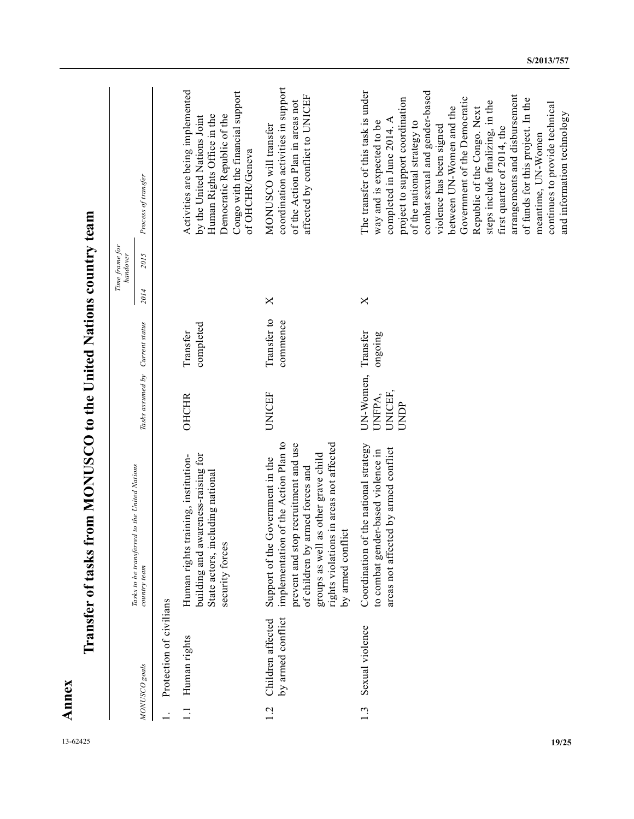|                          |                                        |                                                                                                                                                                                                                                                                |                                        |                         | Time frame for<br>handover |                                                                                                                                                                                                                                                                                                                                                                                                                                                                                                                                                       |
|--------------------------|----------------------------------------|----------------------------------------------------------------------------------------------------------------------------------------------------------------------------------------------------------------------------------------------------------------|----------------------------------------|-------------------------|----------------------------|-------------------------------------------------------------------------------------------------------------------------------------------------------------------------------------------------------------------------------------------------------------------------------------------------------------------------------------------------------------------------------------------------------------------------------------------------------------------------------------------------------------------------------------------------------|
|                          | MONUSCO goals                          | Tasks to be transferred to the United Nations<br>country team                                                                                                                                                                                                  | Tasks assumed by Current status        |                         | 2015<br>2014               | Process of transfer                                                                                                                                                                                                                                                                                                                                                                                                                                                                                                                                   |
|                          | Protection of civilians                |                                                                                                                                                                                                                                                                |                                        |                         |                            |                                                                                                                                                                                                                                                                                                                                                                                                                                                                                                                                                       |
| $\overline{\phantom{0}}$ | Human rights                           | awareness-raising for<br>Human rights training, institution-<br>including national<br>security forces<br>State actors, i<br>building and                                                                                                                       | <b>OHCHR</b>                           | completed<br>Transfer   |                            | Activities are being implemented<br>Congo with the financial support<br>Human Rights Office in the<br>Democratic Republic of the<br>by the United Nations Joint<br>of OHCHR/Geneva                                                                                                                                                                                                                                                                                                                                                                    |
| $\overline{c}$           | by armed conflict<br>Children affected | implementation of the Action Plan to<br>rights violations in areas not affected<br>prevent and stop recruitment and use<br>groups as well as other grave child<br>e Government in the<br>of children by armed forces and<br>by armed conflict<br>Support of th | <b>UNICEF</b>                          | Transfer to<br>commence | X                          | coordination activities in support<br>affected by conflict to UNICEF<br>of the Action Plan in areas not<br>MONUSCO will transfer                                                                                                                                                                                                                                                                                                                                                                                                                      |
| ن<br>19/25               | Sexual violence                        | Coordination of the national strategy<br>areas not affected by armed conflict<br>to combat gender-based violence in                                                                                                                                            | UN-Women,<br>UNICEF,<br>UNFPA,<br>UNDP | Transfer<br>ongoing     | X                          | The transfer of this task is under<br>combat sexual and gender-based<br>arrangements and disbursement<br>Government of the Democratic<br>project to support coordination<br>of funds for this project. In the<br>steps include finalizing, in the<br>continues to provide technical<br>between UN-Women and the<br>Republic of the Congo. Next<br>and information technology<br>completed in June 2014. A<br>way and is expected to be<br>of the national strategy to<br>violence has been signed<br>first quarter of 2014, the<br>meantime, UN-Women |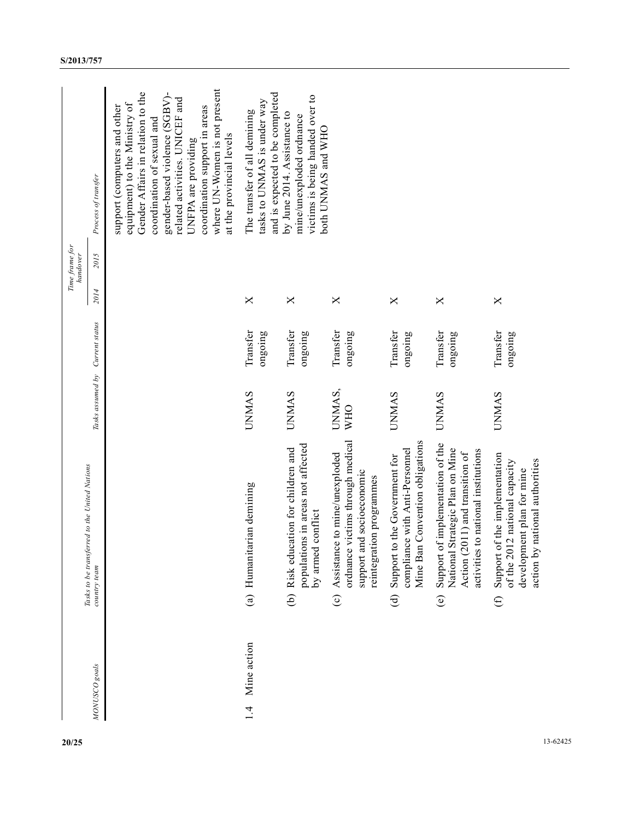| 20/25    |                    |                        | Tasks to be transferred to the United Nations                                                                                                 |                                 |                     |      | Time frame for<br>handover |                                                                                                                                                                                                                                                                                                                          |
|----------|--------------------|------------------------|-----------------------------------------------------------------------------------------------------------------------------------------------|---------------------------------|---------------------|------|----------------------------|--------------------------------------------------------------------------------------------------------------------------------------------------------------------------------------------------------------------------------------------------------------------------------------------------------------------------|
|          | MONUSCO goals      |                        | country team                                                                                                                                  | Tasks assumed by Current status |                     | 2014 | 2015                       | Process of transfer                                                                                                                                                                                                                                                                                                      |
|          |                    |                        |                                                                                                                                               |                                 |                     |      |                            | where UN-Women is not present<br>Gender Affairs in relation to the<br>gender-based violence (SGBV)-<br>related activities. UNICEF and<br>equipment) to the Ministry of<br>support (computers and other<br>coordination support in areas<br>coordination of sexual and<br>at the provincial levels<br>UNFPA are providing |
|          | Mine action<br>1.4 |                        | (a) Humanitarian demining                                                                                                                     | <b>UNMAS</b>                    | Transfer<br>ongoing | X    |                            | and is expected to be completed<br>tasks to UNMAS is under way<br>The transfer of all demining                                                                                                                                                                                                                           |
|          |                    |                        | populations in areas not affected<br>(b) Risk education for children and<br>conflict<br>by armed                                              | <b>UNMAS</b>                    | Transfer<br>ongoing | X    |                            | victims is being handed over to<br>by June 2014. Assistance to<br>mine/unexploded ordnance<br>both UNMAS and WHO                                                                                                                                                                                                         |
|          |                    |                        | ordnance victims through medical<br>(c) Assistance to mine/unexploded<br>support and socioeconomic<br>reintegration programmes                | UNMAS,<br><b>WHO</b>            | Transfer<br>ongoing | X    |                            |                                                                                                                                                                                                                                                                                                                          |
|          |                    | $\widehat{\mathbf{d}}$ | Convention obligations<br>compliance with Anti-Personnel<br>Support to the Government for<br>Mine Ban                                         | <b>UNMAS</b>                    | Transfer<br>ongoing | X    |                            |                                                                                                                                                                                                                                                                                                                          |
|          |                    | $\widehat{e}$          | Support of implementation of the<br>National Strategic Plan on Mine<br>activities to national institutions<br>Action (2011) and transition of | <b>UNMAS</b>                    | Transfer<br>ongoing | X    |                            |                                                                                                                                                                                                                                                                                                                          |
|          |                    | $\oplus$               | Support of the implementation<br>national authorities<br>of the 2012 national capacity<br>development plan for mine<br>action by              | <b>UNMAS</b>                    | Transfer<br>ongoing | X    |                            |                                                                                                                                                                                                                                                                                                                          |
| 13-62425 |                    |                        |                                                                                                                                               |                                 |                     |      |                            |                                                                                                                                                                                                                                                                                                                          |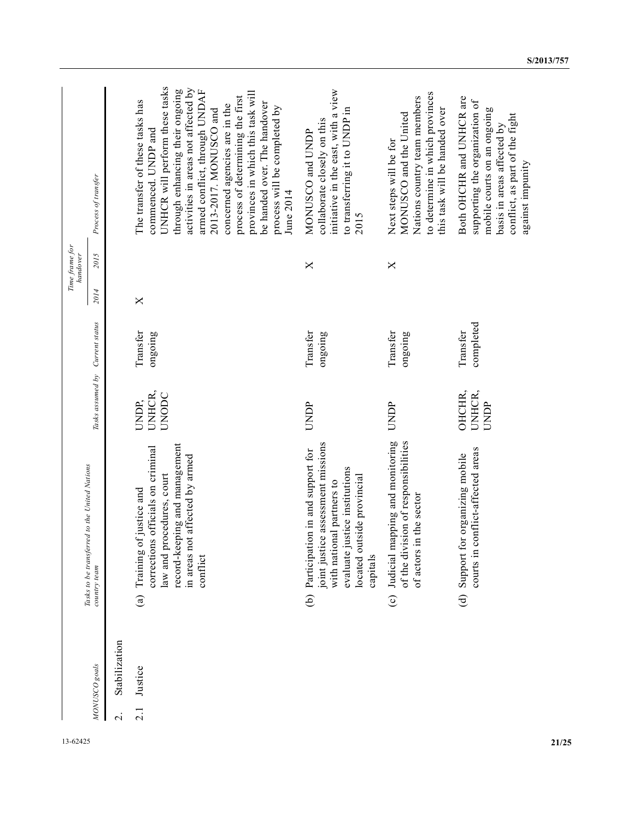| 13-62425 |                          |               |                                                                                                                                                                                           |                                 |                       |      | Time frame for<br>handover |                                                                                                                                                                                                                                                                                                                                                                                                                      |
|----------|--------------------------|---------------|-------------------------------------------------------------------------------------------------------------------------------------------------------------------------------------------|---------------------------------|-----------------------|------|----------------------------|----------------------------------------------------------------------------------------------------------------------------------------------------------------------------------------------------------------------------------------------------------------------------------------------------------------------------------------------------------------------------------------------------------------------|
|          |                          | MONUSCO goals | Tasks to be transferred to the United Nations<br>country team                                                                                                                             | Tasks assumed by                | Current status        | 2014 | 2015                       | Process of transfer                                                                                                                                                                                                                                                                                                                                                                                                  |
|          | $\overline{\mathcal{C}}$ | Stabilization |                                                                                                                                                                                           |                                 |                       |      |                            |                                                                                                                                                                                                                                                                                                                                                                                                                      |
|          | 2.1                      | Justice       | record-keeping and management<br>corrections officials on criminal<br>in areas not affected by armed<br>law and procedures, court<br>Training of justice and<br>conflict<br>$\widehat{a}$ | UNHCR,<br><b>UNODC</b><br>UNDP, | Transfer<br>ongoing   | X    |                            | UNHCR will perform these tasks<br>activities in areas not affected by<br>through enhancing their ongoing<br>armed conflict, through UNDAF<br>provinces in which this task will<br>process of determining the first<br>The transfer of these tasks has<br>be handed over. The handover<br>concerned agencies are in the<br>process will be completed by<br>2013-2017. MONUSCO and<br>commenced. UNDP and<br>June 2014 |
|          |                          |               | joint justice assessment missions<br>(b) Participation in and support for<br>evaluate justice institutions<br>located outside provincial<br>with national partners to<br>capitals         | UNDP                            | Transfer<br>ongoing   |      | X                          | initiative in the east, with a view<br>to transferring it to UNDP in<br>collaborate closely on this<br>MONUSCO and UNDP<br>2015                                                                                                                                                                                                                                                                                      |
|          |                          |               | Judicial mapping and monitoring<br>of the division of responsibilities<br>of actors in the sector<br>$\odot$                                                                              | <b>UNDP</b>                     | Transfer<br>ongoing   |      | X                          | to determine in which provinces<br>Nations country team members<br>this task will be handed over<br>MONUSCO and the United<br>Next steps will be for                                                                                                                                                                                                                                                                 |
|          |                          |               | courts in conflict-affected areas<br>Support for organizing mobile<br>$\widehat{\mathbf{d}}$                                                                                              | OHCHR,<br>UNHCR,<br>UNDP        | completed<br>Transfer |      |                            | Both OHCHR and UNHCR are<br>supporting the organization of<br>mobile courts on an ongoing<br>conflict, as part of the fight<br>basis in areas affected by<br>against impunity                                                                                                                                                                                                                                        |
| 21/25    |                          |               |                                                                                                                                                                                           |                                 |                       |      |                            |                                                                                                                                                                                                                                                                                                                                                                                                                      |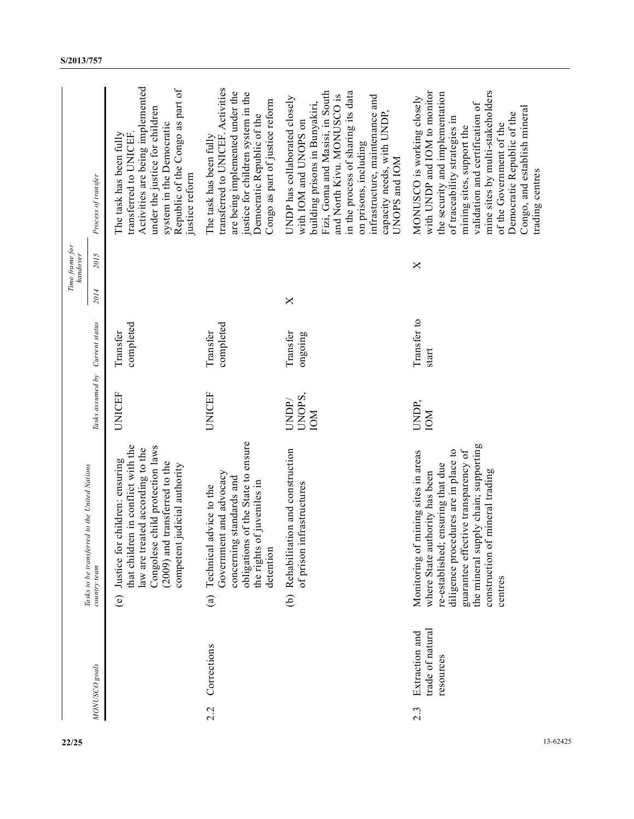|                            | Process of transfer                                           | Activities are being implemented<br>Republic of the Congo as part of<br>under the justice for children<br>system in the Democratic<br>The task has been fully<br>transferred to UNICEF.<br>justice reform        | transferred to UNICEF. Activities<br>are being implemented under the<br>justice for children system in the<br>Congo as part of justice reform<br>Democratic Republic of the<br>The task has been fully | Fizi, Goma and Masisi, in South<br>in the process of sharing its data<br>and North Kivu. MONUSCO is<br>infrastructure, maintenance and<br>UNDP has collaborated closely<br>building prisons in Bunyakiri,<br>capacity needs, with UNDP,<br>with IOM and UNOPS on<br>on prisons, including<br>UNOPS and IOM | with UNDP and IOM to monitor<br>mine sites by multi-stakeholders<br>the security and implementation<br>MONUSCO is working closely<br>validation and certification of<br>Congo, and establish mineral<br>Democratic Republic of the<br>of traceability strategies in<br>of the Government of the<br>mining sites, support the<br>trading centres |          |
|----------------------------|---------------------------------------------------------------|------------------------------------------------------------------------------------------------------------------------------------------------------------------------------------------------------------------|--------------------------------------------------------------------------------------------------------------------------------------------------------------------------------------------------------|------------------------------------------------------------------------------------------------------------------------------------------------------------------------------------------------------------------------------------------------------------------------------------------------------------|-------------------------------------------------------------------------------------------------------------------------------------------------------------------------------------------------------------------------------------------------------------------------------------------------------------------------------------------------|----------|
| Time frame for<br>handover | 2015                                                          |                                                                                                                                                                                                                  |                                                                                                                                                                                                        |                                                                                                                                                                                                                                                                                                            | ×                                                                                                                                                                                                                                                                                                                                               |          |
|                            | 2014                                                          |                                                                                                                                                                                                                  |                                                                                                                                                                                                        | X                                                                                                                                                                                                                                                                                                          |                                                                                                                                                                                                                                                                                                                                                 |          |
|                            | Current status                                                | completed<br>Transfer                                                                                                                                                                                            | completed<br>Transfer                                                                                                                                                                                  | Transfer<br>ongoing                                                                                                                                                                                                                                                                                        | Transfer to<br>start                                                                                                                                                                                                                                                                                                                            |          |
|                            | Tasks assumed by                                              | UNICEF                                                                                                                                                                                                           | <b>UNICEF</b>                                                                                                                                                                                          | UNOPS,<br>UNDP/<br><b>NOI</b>                                                                                                                                                                                                                                                                              | UNDP,<br><b>NOI</b>                                                                                                                                                                                                                                                                                                                             |          |
|                            | Tasks to be transferred to the United Nations<br>country team | that children in conflict with the<br>Congolese child protection laws<br>law are treated according to the<br>(e) Justice for children: ensuring<br>(2009) and transferred to the<br>competent judicial authority | obligations of the State to ensure<br>Government and advocacy<br>g standards and<br>the rights of juveniles in<br>advice to the<br>Technical<br>concernin<br>detention<br>$\mathbf{a}$                 | (b) Rehabilitation and construction<br>infrastructures<br>of prison                                                                                                                                                                                                                                        | the mineral supply chain; supporting<br>edures are in place to<br>guarantee effective transparency of<br>Monitoring of mining sites in areas<br>re-established; ensuring that due<br>construction of mineral trading<br>where State authority has been<br>diligence proc<br>centres                                                             |          |
|                            | MONUSCO goals                                                 |                                                                                                                                                                                                                  | Corrections<br>2.2                                                                                                                                                                                     |                                                                                                                                                                                                                                                                                                            | trade of natural<br>Extraction and<br>resources<br>$2.\overline{3}$                                                                                                                                                                                                                                                                             |          |
| 22/25                      |                                                               |                                                                                                                                                                                                                  |                                                                                                                                                                                                        |                                                                                                                                                                                                                                                                                                            |                                                                                                                                                                                                                                                                                                                                                 | 13-62425 |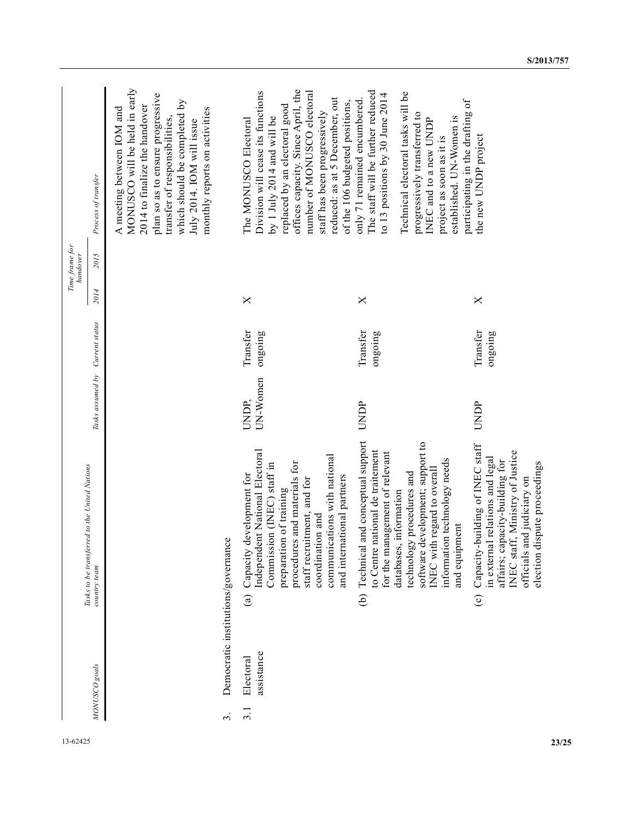| 13-62425 |                      |                         |                                                                                                                                                                                                                                                                                                       |                   |                     | Time frame for<br>handover |      |                                                                                                                                                                                                                                                                                                    |
|----------|----------------------|-------------------------|-------------------------------------------------------------------------------------------------------------------------------------------------------------------------------------------------------------------------------------------------------------------------------------------------------|-------------------|---------------------|----------------------------|------|----------------------------------------------------------------------------------------------------------------------------------------------------------------------------------------------------------------------------------------------------------------------------------------------------|
|          |                      | MONUSCO goals           | Tasks to be transferred to the United Nations<br>country team                                                                                                                                                                                                                                         | Tasks assumed by  | Current status      | 2014                       | 2015 | Process of transfer                                                                                                                                                                                                                                                                                |
|          |                      |                         |                                                                                                                                                                                                                                                                                                       |                   |                     |                            |      | MONUSCO will be held in early<br>plan so as to ensure progressive<br>which should be completed by<br>2014 to finalize the handover<br>A meeting between IOM and<br>monthly reports on activities<br>transfer of responsibilities,<br>July 2014. IOM will issue                                     |
|          | $\dot{\mathfrak{c}}$ |                         | Democratic institutions/governance                                                                                                                                                                                                                                                                    |                   |                     |                            |      |                                                                                                                                                                                                                                                                                                    |
|          | $\overline{3.1}$     | assistance<br>Electoral | Independent National Electoral<br>communications with national<br>procedures and materials for<br>Commission (INEC) staff in<br>Capacity development for<br>and international partners<br>staff recruitment, and for<br>preparation of training<br>coordination and<br>$\binom{a}{b}$                 | UN-Women<br>UNDP. | Transfer<br>ongoing | X                          |      | offices capacity. Since April, the<br>number of MONUSCO electoral<br>Division will cease its functions<br>reduced: as at 5 December, out<br>of the 106 budgeted positions,<br>replaced by an electoral good<br>staff has been progressively<br>by 1 July 2014 and will be<br>The MONUSCO Electoral |
|          |                      |                         | and conceptual support<br>software development; support to<br>to Centre national de traitement<br>for the management of relevant<br>information technology needs<br>INEC with regard to overall<br>technology procedures and<br>databases, information<br>and equipment<br>Technical<br>$\widehat{e}$ | <b>UNDP</b>       | Transfer<br>ongoing | ×                          |      | The staff will be further reduced<br>Technical electoral tasks will be<br>to 13 positions by 30 June 2014<br>only 71 remained encumbered.<br>participating in the drafting of<br>progressively transferred to<br>established. UN-Women is<br>INEC and to a new UNDP<br>project as soon as it is    |
|          |                      |                         | Capacity-building of INEC staff<br>INEC staff, Ministry of Justice<br>in external relations and legal<br>affairs; capacity-building for<br>election dispute proceedings<br>officials and judiciary on<br>$\odot$                                                                                      | <b>UNDP</b>       | Transfer<br>ongoing | ×                          |      | the new UNDP project                                                                                                                                                                                                                                                                               |
| 23/25    |                      |                         |                                                                                                                                                                                                                                                                                                       |                   |                     |                            |      |                                                                                                                                                                                                                                                                                                    |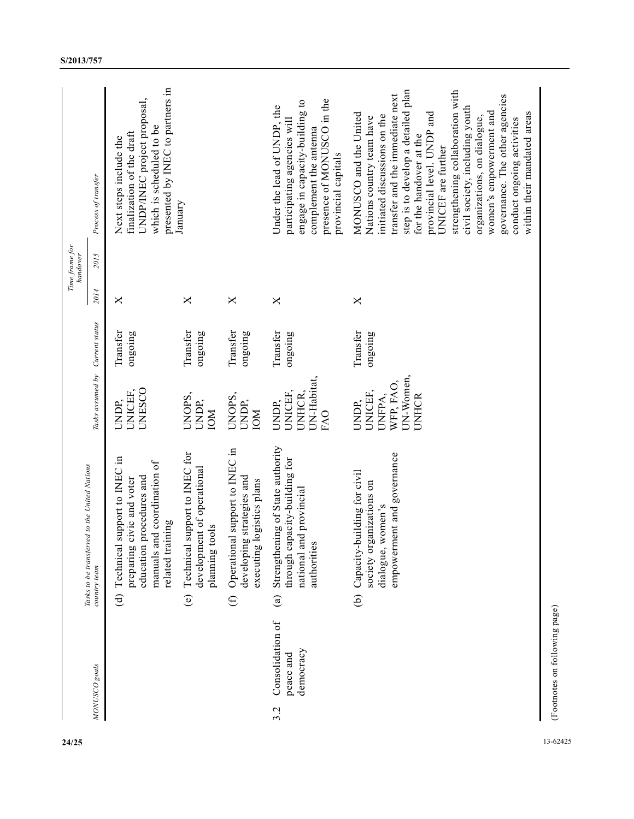| Time frame for<br>handover | Process of transfer<br>2015                                   | presented by INEC to partners in<br>UNDP/INEC project proposal,<br>which is scheduled to be<br>finalization of the draft<br>Next steps include the | January                                                                          |                                                                                          | presence of MONUSCO in the<br>engage in capacity-building to<br>Under the lead of UNDP, the<br>participating agencies will<br>complement the antenna<br>provincial capitals | step is to develop a detailed plan<br>strengthening collaboration with<br>transfer and the immediate next<br>governance. The other agencies<br>civil society, including youth<br>women's empowerment and<br>provincial level. UNDP and<br>within their mandated areas<br>MONUSCO and the United<br>initiated discussions on the<br>organizations, on dialogue,<br>Nations country team have<br>conduct ongoing activities<br>for the handover at the<br>UNICEF are further |                               |
|----------------------------|---------------------------------------------------------------|----------------------------------------------------------------------------------------------------------------------------------------------------|----------------------------------------------------------------------------------|------------------------------------------------------------------------------------------|-----------------------------------------------------------------------------------------------------------------------------------------------------------------------------|----------------------------------------------------------------------------------------------------------------------------------------------------------------------------------------------------------------------------------------------------------------------------------------------------------------------------------------------------------------------------------------------------------------------------------------------------------------------------|-------------------------------|
|                            | 2014                                                          | ×                                                                                                                                                  | X                                                                                | $\times$                                                                                 | $\times$                                                                                                                                                                    | X                                                                                                                                                                                                                                                                                                                                                                                                                                                                          |                               |
|                            |                                                               | Transfer<br>ongoing                                                                                                                                | Transfer<br>ongoing                                                              | Transfer<br>ongoing                                                                      | Transfer<br>ongoing                                                                                                                                                         | Transfer<br>ongoing                                                                                                                                                                                                                                                                                                                                                                                                                                                        |                               |
|                            | Tasks assumed by Current status                               | <b>UNESCO</b><br>UNICEF,<br>UNDP,                                                                                                                  | UNOPS,<br>UNDP,<br><b>NOI</b>                                                    | UNOPS,<br>UNDP,<br><b>NOI</b>                                                            | UN-Habitat,<br>UNICEF,<br>UNHCR.<br>UNDP,<br>FAO                                                                                                                            | UN-Women,<br>WFP, FAO,<br>UNICEF,<br>UNFPA,<br>UNHCR<br>UNDP,                                                                                                                                                                                                                                                                                                                                                                                                              |                               |
|                            | Tasks to be transferred to the United Nations<br>country team | support to INEC in<br>manuals and coordination of<br>education procedures and<br>civic and voter<br>related training<br>preparing<br>(d) Technica  | Technical support to INEC for<br>development of operational<br>tools<br>planning | Operational support to INEC in<br>developing strategies and<br>executing logistics plans | Strengthening of State authority<br>through capacity-building for<br>national and provincial<br>authorities                                                                 | empowerment and governance<br>building for civil<br>ganizations on<br>women's<br>(b) Capacity-<br>society or<br>dialogue,                                                                                                                                                                                                                                                                                                                                                  |                               |
|                            | MONUSCO goals                                                 |                                                                                                                                                    | $\odot$                                                                          | $\bigoplus$                                                                              | $\binom{a}{b}$<br>Consolidation of<br>democracy<br>peace and                                                                                                                |                                                                                                                                                                                                                                                                                                                                                                                                                                                                            | (Footnotes on following page) |
| 24/25                      |                                                               |                                                                                                                                                    |                                                                                  |                                                                                          | 3.2                                                                                                                                                                         |                                                                                                                                                                                                                                                                                                                                                                                                                                                                            | 13-62425                      |